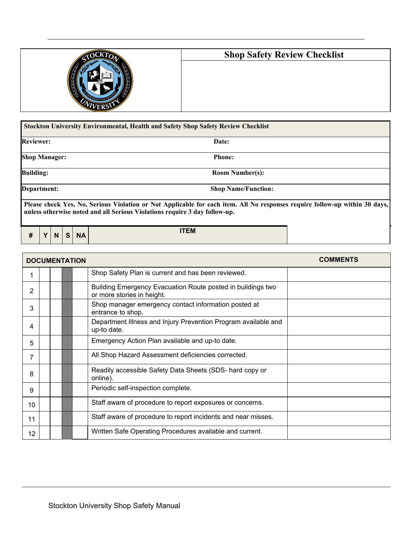

## **Shop Safety Review Checklist**

| <b>Reviewer:</b>     | Date:                      |
|----------------------|----------------------------|
| <b>Shop Manager:</b> | <b>Phone:</b>              |
| <b>Building:</b>     | <b>Room Number(s):</b>     |
| Department:          | <b>Shop Name/Function:</b> |

|  |  |  |  | $\#$ $\vert$ Y $\vert$ N $\vert$ S $\vert$ NA | <b>ITEM</b> |
|--|--|--|--|-----------------------------------------------|-------------|
|--|--|--|--|-----------------------------------------------|-------------|

| <b>COMMENTS</b><br><b>DOCUMENTATION</b> |  |  |                                                                                           |  |  |
|-----------------------------------------|--|--|-------------------------------------------------------------------------------------------|--|--|
| 1                                       |  |  | Shop Safety Plan is current and has been reviewed.                                        |  |  |
| 2                                       |  |  | Building Emergency Evacuation Route posted in buildings two<br>or more stories in height. |  |  |
| 3                                       |  |  | Shop manager emergency contact information posted at<br>entrance to shop.                 |  |  |
| 4                                       |  |  | Department Illness and Injury Prevention Program available and<br>up-to date.             |  |  |
| 5                                       |  |  | Emergency Action Plan available and up-to date.                                           |  |  |
| 7                                       |  |  | All Shop Hazard Assessment deficiencies corrected.                                        |  |  |
| 8                                       |  |  | Readily accessible Safety Data Sheets (SDS- hard copy or<br>online).                      |  |  |
| 9                                       |  |  | Periodic self-inspection complete.                                                        |  |  |
| 10                                      |  |  | Staff aware of procedure to report exposures or concerns.                                 |  |  |
| 11                                      |  |  | Staff aware of procedure to report incidents and near misses.                             |  |  |
| 12                                      |  |  | Written Safe Operating Procedures available and current.                                  |  |  |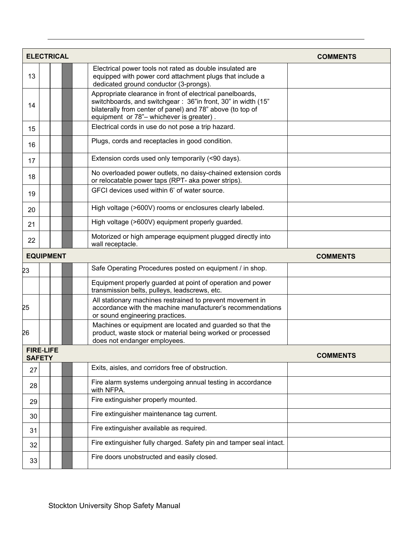|    | <b>ELECTRICAL</b>                 |                                                                                                                                                                                                                                     | <b>COMMENTS</b> |
|----|-----------------------------------|-------------------------------------------------------------------------------------------------------------------------------------------------------------------------------------------------------------------------------------|-----------------|
| 13 |                                   | Electrical power tools not rated as double insulated are<br>equipped with power cord attachment plugs that include a<br>dedicated ground conductor (3-prongs).                                                                      |                 |
| 14 |                                   | Appropriate clearance in front of electrical panelboards,<br>switchboards, and switchgear: 36"in front, 30" in width (15"<br>bilaterally from center of panel) and 78" above (to top of<br>equipment or 78"- whichever is greater). |                 |
| 15 |                                   | Electrical cords in use do not pose a trip hazard.                                                                                                                                                                                  |                 |
| 16 |                                   | Plugs, cords and receptacles in good condition.                                                                                                                                                                                     |                 |
| 17 |                                   | Extension cords used only temporarily (<90 days).                                                                                                                                                                                   |                 |
| 18 |                                   | No overloaded power outlets, no daisy-chained extension cords<br>or relocatable power taps (RPT- aka power strips).                                                                                                                 |                 |
| 19 |                                   | GFCI devices used within 6' of water source.                                                                                                                                                                                        |                 |
| 20 |                                   | High voltage (>600V) rooms or enclosures clearly labeled.                                                                                                                                                                           |                 |
| 21 |                                   | High voltage (>600V) equipment properly guarded.                                                                                                                                                                                    |                 |
| 22 |                                   | Motorized or high amperage equipment plugged directly into<br>wall receptacle.                                                                                                                                                      |                 |
|    | <b>EQUIPMENT</b>                  |                                                                                                                                                                                                                                     | <b>COMMENTS</b> |
| 23 |                                   | Safe Operating Procedures posted on equipment / in shop.                                                                                                                                                                            |                 |
|    |                                   | Equipment properly guarded at point of operation and power<br>transmission belts, pulleys, leadscrews, etc.                                                                                                                         |                 |
| 25 |                                   | All stationary machines restrained to prevent movement in<br>accordance with the machine manufacturer's recommendations<br>or sound engineering practices.                                                                          |                 |
| 26 |                                   | Machines or equipment are located and guarded so that the<br>product, waste stock or material being worked or processed<br>does not endanger employees.                                                                             |                 |
|    | <b>FIRE-LIFE</b><br><b>SAFETY</b> |                                                                                                                                                                                                                                     | <b>COMMENTS</b> |
| 27 |                                   | Exits, aisles, and corridors free of obstruction.                                                                                                                                                                                   |                 |
| 28 |                                   | Fire alarm systems undergoing annual testing in accordance<br>with NFPA.                                                                                                                                                            |                 |
| 29 |                                   | Fire extinguisher properly mounted.                                                                                                                                                                                                 |                 |
| 30 |                                   | Fire extinguisher maintenance tag current.                                                                                                                                                                                          |                 |
| 31 |                                   | Fire extinguisher available as required.                                                                                                                                                                                            |                 |
| 32 |                                   | Fire extinguisher fully charged. Safety pin and tamper seal intact.                                                                                                                                                                 |                 |
| 33 |                                   | Fire doors unobstructed and easily closed.                                                                                                                                                                                          |                 |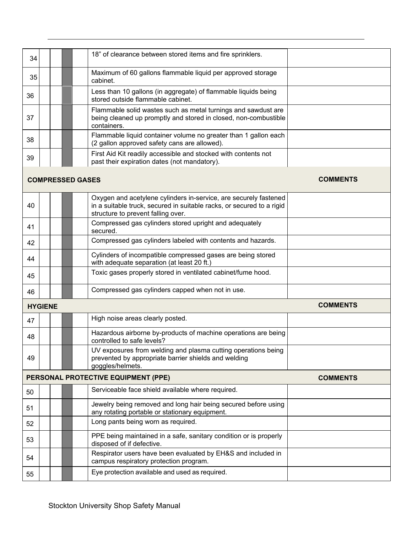| 34 |                         | 18" of clearance between stored items and fire sprinklers.                                                                                                                      |                 |
|----|-------------------------|---------------------------------------------------------------------------------------------------------------------------------------------------------------------------------|-----------------|
| 35 |                         | Maximum of 60 gallons flammable liquid per approved storage<br>cabinet.                                                                                                         |                 |
| 36 |                         | Less than 10 gallons (in aggregate) of flammable liquids being<br>stored outside flammable cabinet.                                                                             |                 |
| 37 |                         | Flammable solid wastes such as metal turnings and sawdust are<br>being cleaned up promptly and stored in closed, non-combustible<br>containers.                                 |                 |
| 38 |                         | Flammable liquid container volume no greater than 1 gallon each<br>(2 gallon approved safety cans are allowed).                                                                 |                 |
| 39 |                         | First Aid Kit readily accessible and stocked with contents not<br>past their expiration dates (not mandatory).                                                                  |                 |
|    | <b>COMPRESSED GASES</b> |                                                                                                                                                                                 | <b>COMMENTS</b> |
| 40 |                         | Oxygen and acetylene cylinders in-service, are securely fastened<br>in a suitable truck, secured in suitable racks, or secured to a rigid<br>structure to prevent falling over. |                 |
| 41 |                         | Compressed gas cylinders stored upright and adequately<br>secured.                                                                                                              |                 |
| 42 |                         | Compressed gas cylinders labeled with contents and hazards.                                                                                                                     |                 |
| 44 |                         | Cylinders of incompatible compressed gases are being stored<br>with adequate separation (at least 20 ft.)                                                                       |                 |
| 45 |                         | Toxic gases properly stored in ventilated cabinet/fume hood.                                                                                                                    |                 |
| 46 |                         | Compressed gas cylinders capped when not in use.                                                                                                                                |                 |
|    | <b>HYGIENE</b>          |                                                                                                                                                                                 | <b>COMMENTS</b> |
| 47 |                         | High noise areas clearly posted.                                                                                                                                                |                 |
| 48 |                         | Hazardous airborne by-products of machine operations are being<br>controlled to safe levels?                                                                                    |                 |
| 49 |                         | UV exposures from welding and plasma cutting operations being<br>prevented by appropriate barrier shields and welding<br>goggles/helmets.                                       |                 |
|    |                         | PERSONAL PROTECTIVE EQUIPMENT (PPE)                                                                                                                                             | <b>COMMENTS</b> |
| 50 |                         | Serviceable face shield available where required.                                                                                                                               |                 |
| 51 |                         | Jewelry being removed and long hair being secured before using<br>any rotating portable or stationary equipment.                                                                |                 |
| 52 |                         | Long pants being worn as required.                                                                                                                                              |                 |
| 53 |                         | PPE being maintained in a safe, sanitary condition or is properly<br>disposed of if defective.                                                                                  |                 |
| 54 |                         | Respirator users have been evaluated by EH&S and included in<br>campus respiratory protection program.                                                                          |                 |
| 55 |                         | Eye protection available and used as required.                                                                                                                                  |                 |